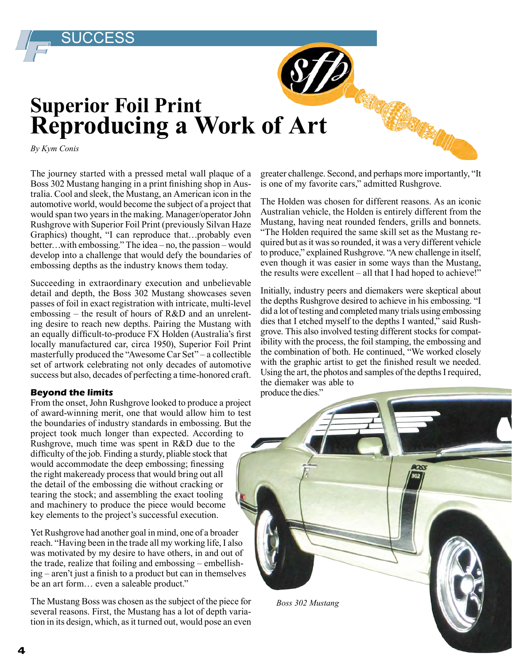## **Superior Foil Print Reproducing a Work of Art**

*By Kym Conis*

SUCCESS

The journey started with a pressed metal wall plaque of a Boss 302 Mustang hanging in a print finishing shop in Australia. Cool and sleek, the Mustang, an American icon in the automotive world, would become the subject of a project that would span two years in the making. Manager/operator John Rushgrove with Superior Foil Print (previously Silvan Haze Graphics) thought, "I can reproduce that…probably even better…with embossing." The idea – no, the passion – would develop into a challenge that would defy the boundaries of embossing depths as the industry knows them today.

Succeeding in extraordinary execution and unbelievable detail and depth, the Boss 302 Mustang showcases seven passes of foil in exact registration with intricate, multi-level embossing – the result of hours of R&D and an unrelenting desire to reach new depths. Pairing the Mustang with an equally difficult-to-produce FX Holden (Australia's first locally manufactured car, circa 1950), Superior Foil Print masterfully produced the "Awesome Car Set" – a collectible set of artwork celebrating not only decades of automotive success but also, decades of perfecting a time-honored craft.

## **Beyond the limits**

From the onset, John Rushgrove looked to produce a project of award-winning merit, one that would allow him to test the boundaries of industry standards in embossing. But the project took much longer than expected. According to Rushgrove, much time was spent in R&D due to the difficulty of the job. Finding a sturdy, pliable stock that would accommodate the deep embossing; finessing the right makeready process that would bring out all the detail of the embossing die without cracking or tearing the stock; and assembling the exact tooling and machinery to produce the piece would become key elements to the project's successful execution.

Yet Rushgrove had another goal in mind, one of a broader reach. "Having been in the trade all my working life, I also was motivated by my desire to have others, in and out of the trade, realize that foiling and embossing – embellishing – aren't just a finish to a product but can in themselves be an art form… even a saleable product."

The Mustang Boss was chosen as the subject of the piece for several reasons. First, the Mustang has a lot of depth variation in its design, which, as it turned out, would pose an even greater challenge. Second, and perhaps more importantly, "It is one of my favorite cars," admitted Rushgrove.

The Holden was chosen for different reasons. As an iconic Australian vehicle, the Holden is entirely different from the Mustang, having neat rounded fenders, grills and bonnets. "The Holden required the same skill set as the Mustang required but as it was so rounded, it was a very different vehicle to produce," explained Rushgrove. "A new challenge in itself, even though it was easier in some ways than the Mustang, the results were excellent – all that I had hoped to achieve!"

Initially, industry peers and diemakers were skeptical about the depths Rushgrove desired to achieve in his embossing. "I did a lot of testing and completed many trials using embossing dies that I etched myself to the depths I wanted," said Rushgrove. This also involved testing different stocks for compatibility with the process, the foil stamping, the embossing and the combination of both. He continued, "We worked closely with the graphic artist to get the finished result we needed. Using the art, the photos and samples of the depths I required, the diemaker was able to

produce the dies."

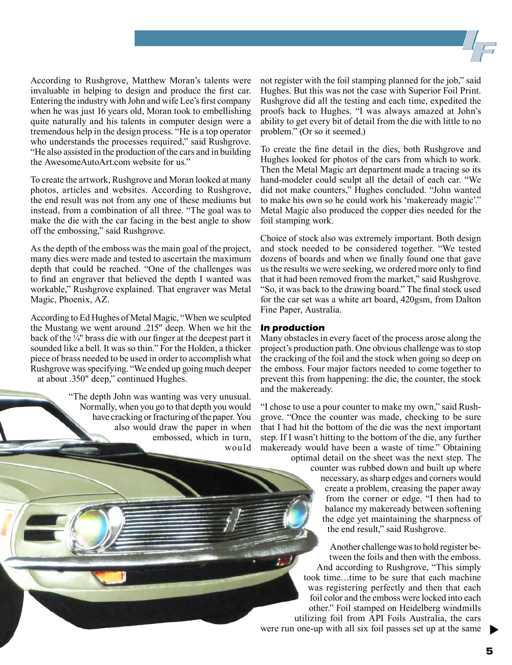According to Rushgrove, Matthew Moran's talents were invaluable in helping to design and produce the first car. Entering the industry with John and wife Lee's first company when he was just 16 years old, Moran took to embellishing quite naturally and his talents in computer design were a tremendous help in the design process. "He is a top operator who understands the processes required," said Rushgrove. "He also assisted in the production of the cars and in building the AwesomeAutoArt.com website for us."

To create the artwork, Rushgrove and Moran looked at many photos, articles and websites. According to Rushgrove, the end result was not from any one of these mediums but instead, from a combination of all three. "The goal was to make the die with the car facing in the best angle to show off the embossing," said Rushgrove.

As the depth of the emboss was the main goal of the project, many dies were made and tested to ascertain the maximum depth that could be reached. "One of the challenges was to find an engraver that believed the depth I wanted was workable," Rushgrove explained. That engraver was Metal Magic, Phoenix, AZ.

According to Ed Hughes of Metal Magic, "When we sculpted the Mustang we went around .215" deep. When we hit the back of the  $\frac{1}{4}$ " brass die with our finger at the deepest part it sounded like a bell. It was so thin." For the Holden, a thicker piece of brass needed to be used in order to accomplish what Rushgrove was specifying. "We ended up going much deeper at about .350" deep," continued Hughes.

> "The depth John was wanting was very unusual. Normally, when you go to that depth you would have cracking or fracturing of the paper. You also would draw the paper in when embossed, which in turn, would

not register with the foil stamping planned for the job," said Hughes. But this was not the case with Superior Foil Print. Rushgrove did all the testing and each time, expedited the proofs back to Hughes. "I was always amazed at John's ability to get every bit of detail from the die with little to no problem." (Or so it seemed.)

To create the fine detail in the dies, both Rushgrove and Hughes looked for photos of the cars from which to work. Then the Metal Magic art department made a tracing so its hand-modeler could sculpt all the detail of each car. "We did not make counters," Hughes concluded. "John wanted to make his own so he could work his 'makeready magic'." Metal Magic also produced the copper dies needed for the foil stamping work.

Choice of stock also was extremely important. Both design and stock needed to be considered together. "We tested dozens of boards and when we finally found one that gave us the results we were seeking, we ordered more only to find that it had been removed from the market," said Rushgrove. "So, it was back to the drawing board." The final stock used for the car set was a white art board, 420gsm, from Dalton Fine Paper, Australia.

## **In production**

Many obstacles in every facet of the process arose along the project's production path. One obvious challenge was to stop the cracking of the foil and the stock when going so deep on the emboss. Four major factors needed to come together to prevent this from happening: the die, the counter, the stock and the makeready.

"I chose to use a pour counter to make my own," said Rushgrove. "Once the counter was made, checking to be sure that I had hit the bottom of the die was the next important step. If I wasn't hitting to the bottom of the die, any further makeready would have been a waste of time." Obtaining

optimal detail on the sheet was the next step. The counter was rubbed down and built up where necessary, as sharp edges and corners would create a problem, creasing the paper away from the corner or edge. "I then had to balance my makeready between softening the edge yet maintaining the sharpness of the end result," said Rushgrove.

Another challenge was to hold register between the foils and then with the emboss. And according to Rushgrove, "This simply took time…time to be sure that each machine was registering perfectly and then that each foil color and the emboss were locked into each other." Foil stamped on Heidelberg windmills utilizing foil from API Foils Australia, the cars were run one-up with all six foil passes set up at the same

 $\blacktriangleright$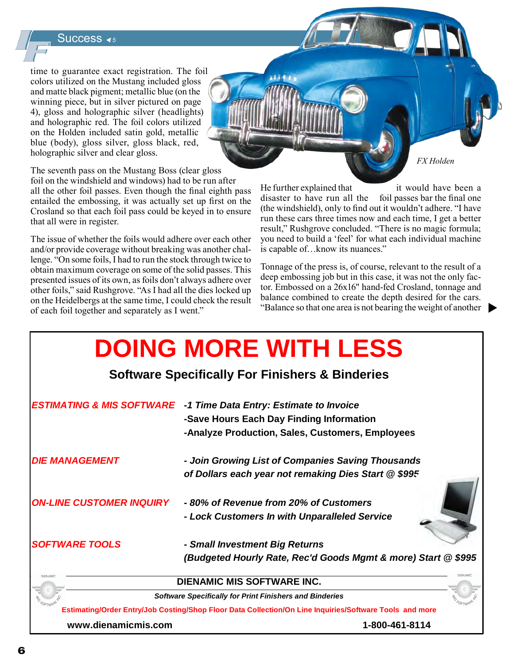Success <sub>◀5</sub>

time to guarantee exact registration. The foil colors utilized on the Mustang included gloss and matte black pigment; metallic blue (on the winning piece, but in silver pictured on page 4), gloss and holographic silver (headlights) and holographic red. The foil colors utilized on the Holden included satin gold, metallic blue (body), gloss silver, gloss black, red, holographic silver and clear gloss.

The seventh pass on the Mustang Boss (clear gloss

foil on the windshield and windows) had to be run after all the other foil passes. Even though the final eighth pass entailed the embossing, it was actually set up first on the Crosland so that each foil pass could be keyed in to ensure that all were in register.

The issue of whether the foils would adhere over each other and/or provide coverage without breaking was another challenge. "On some foils, I had to run the stock through twice to obtain maximum coverage on some of the solid passes. This presented issues of its own, as foils don't always adhere over other foils," said Rushgrove. "As I had all the dies locked up on the Heidelbergs at the same time, I could check the result of each foil together and separately as I went."

He further explained that it would have been a disaster to have run all the foil passes bar the final one (the windshield), only to find out it wouldn't adhere. "I have run these cars three times now and each time, I get a better result," Rushgrove concluded. "There is no magic formula; you need to build a 'feel' for what each individual machine

*FX Holden*

Tonnage of the press is, of course, relevant to the result of a deep embossing job but in this case, it was not the only factor. Embossed on a 26x16" hand-fed Crosland, tonnage and balance combined to create the depth desired for the cars. "Balance so that one area is not bearing the weight of another

is capable of…know its nuances."

|                                                                                                         | <b>DOING MORE WITH LESS</b>                                   |
|---------------------------------------------------------------------------------------------------------|---------------------------------------------------------------|
| <b>Software Specifically For Finishers &amp; Binderies</b>                                              |                                                               |
| <b>ESTIMATING &amp; MIS SOFTWARE</b>                                                                    | -1 Time Data Entry: Estimate to Invoice                       |
|                                                                                                         | -Save Hours Each Day Finding Information                      |
|                                                                                                         | -Analyze Production, Sales, Customers, Employees              |
| <b>DIE MANAGEMENT</b>                                                                                   | - Join Growing List of Companies Saving Thousands             |
|                                                                                                         | of Dollars each year not remaking Dies Start @ \$99.5         |
|                                                                                                         |                                                               |
| <b>ON-LINE CUSTOMER INQUIRY</b>                                                                         | -80% of Revenue from 20% of Customers                         |
|                                                                                                         | - Lock Customers In with Unparalleled Service                 |
| <b>SOFTWARE TOOLS</b>                                                                                   | - Small Investment Big Returns                                |
|                                                                                                         | (Budgeted Hourly Rate, Rec'd Goods Mgmt & more) Start @ \$995 |
| <b>DIENAMIC MIS SOFTWARE INC.</b>                                                                       |                                                               |
| <b>Software Specifically for Print Finishers and Binderies</b>                                          |                                                               |
| Estimating/Order Entry/Job Costing/Shop Floor Data Collection/On Line Inquiries/Software Tools and more |                                                               |

**www.dienamicmis.com 1-800-461-8114**